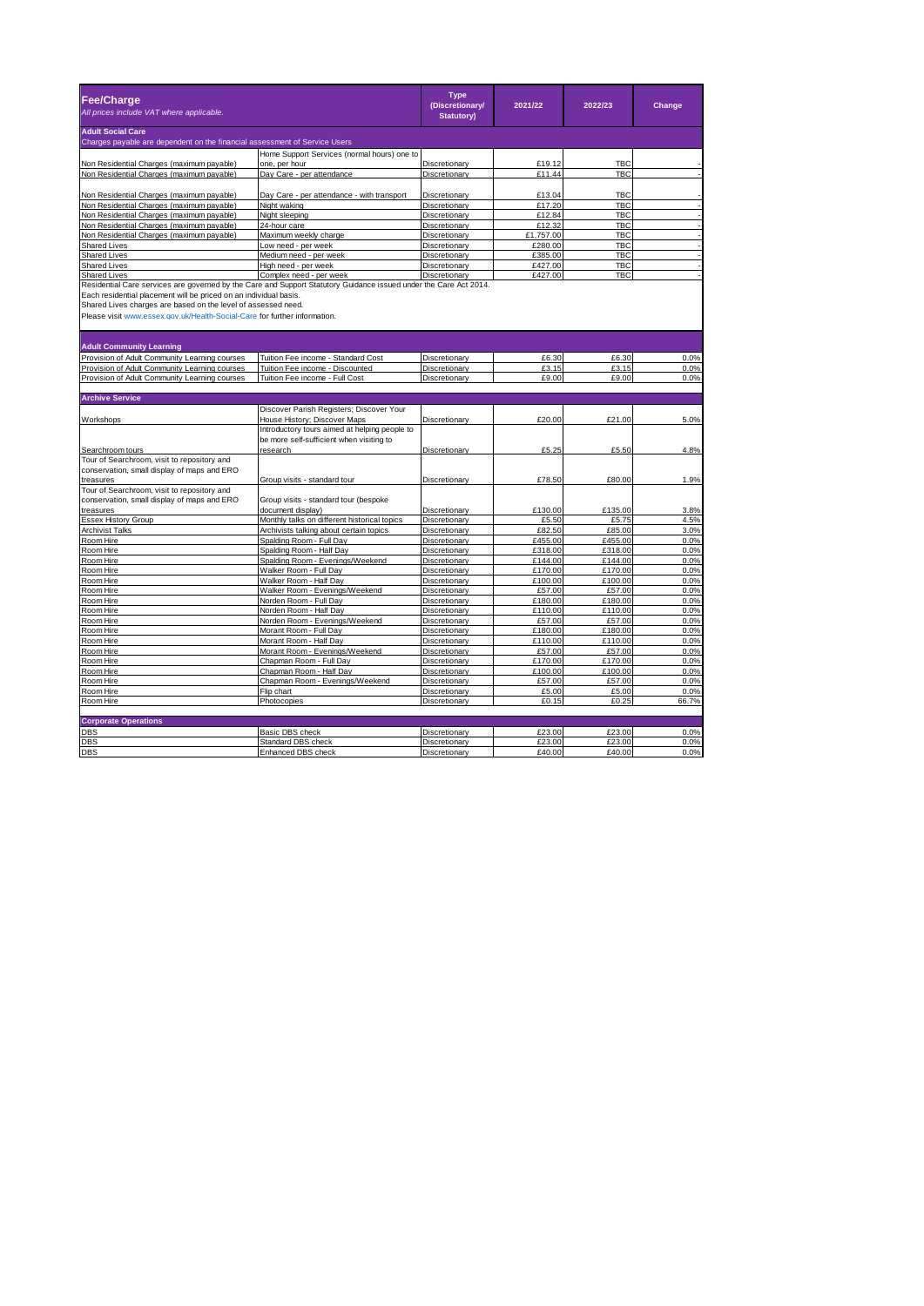| <b>Fee/Charge</b><br>All prices include VAT where applicable.                                                                                                                                                                                                                                                                        |                                                                                                                           | <b>Type</b><br>(Discretionary/<br><b>Statutory)</b> | 2021/22          | 2022/23                  | Change       |
|--------------------------------------------------------------------------------------------------------------------------------------------------------------------------------------------------------------------------------------------------------------------------------------------------------------------------------------|---------------------------------------------------------------------------------------------------------------------------|-----------------------------------------------------|------------------|--------------------------|--------------|
| <b>Adult Social Care</b>                                                                                                                                                                                                                                                                                                             |                                                                                                                           |                                                     |                  |                          |              |
| Charges payable are dependent on the financial assessment of Service Users                                                                                                                                                                                                                                                           |                                                                                                                           |                                                     |                  |                          |              |
|                                                                                                                                                                                                                                                                                                                                      | Home Support Services (normal hours) one to                                                                               |                                                     |                  |                          |              |
| Non Residential Charges (maximum payable)                                                                                                                                                                                                                                                                                            | one, per hour                                                                                                             | Discretionary                                       | £19.12           | <b>TBC</b>               |              |
| Non Residential Charges (maximum payable)                                                                                                                                                                                                                                                                                            | Day Care - per attendance                                                                                                 | Discretionary                                       | £11.44           | <b>TBC</b>               |              |
|                                                                                                                                                                                                                                                                                                                                      |                                                                                                                           |                                                     |                  |                          |              |
| Non Residential Charges (maximum payable)                                                                                                                                                                                                                                                                                            | Day Care - per attendance - with transport                                                                                | Discretionary                                       | £13.04           | <b>TBC</b><br><b>TBC</b> |              |
| Non Residential Charges (maximum payable)<br>Non Residential Charges (maximum payable)                                                                                                                                                                                                                                               | Night waking<br>Night sleeping                                                                                            | Discretionary<br>Discretionary                      | £17.20<br>£12.84 | <b>TBC</b>               |              |
| Non Residential Charges (maximum payable)                                                                                                                                                                                                                                                                                            | 24-hour care                                                                                                              | Discretionary                                       | £12.32           | <b>TBC</b>               |              |
| Non Residential Charges (maximum payable)                                                                                                                                                                                                                                                                                            | Maximum weekly charge                                                                                                     | Discretionary                                       | £1,757.00        | <b>TBC</b>               |              |
| <b>Shared Lives</b>                                                                                                                                                                                                                                                                                                                  | Low need - per week                                                                                                       | Discretionary                                       | £280.00          | <b>TBC</b>               |              |
| <b>Shared Lives</b>                                                                                                                                                                                                                                                                                                                  | Medium need - per week                                                                                                    | Discretionary                                       | £385.00          | TBC                      |              |
| Shared Lives                                                                                                                                                                                                                                                                                                                         | High need - per week                                                                                                      | Discretionary                                       | £427.00          | <b>TBC</b>               |              |
| Shared Lives                                                                                                                                                                                                                                                                                                                         | Complex need - per week                                                                                                   | Discretionary                                       | £427.00          | <b>TBC</b>               |              |
| Residential Care services are governed by the Care and Support Statutory Guidance issued under the Care Act 2014.<br>Each residential placement will be priced on an individual basis.<br>Shared Lives charges are based on the level of assessed need.<br>Please visit www.essex.gov.uk/Health-Social-Care for further information. |                                                                                                                           |                                                     |                  |                          |              |
| <b>Adult Community Learning</b>                                                                                                                                                                                                                                                                                                      |                                                                                                                           |                                                     |                  |                          |              |
| Provision of Adult Community Learning courses                                                                                                                                                                                                                                                                                        | Tuition Fee income - Standard Cost                                                                                        | Discretionary                                       | £6.30            | £6.30                    | 0.0%         |
| Provision of Adult Community Learning courses                                                                                                                                                                                                                                                                                        | Tuition Fee income - Discounted                                                                                           | Discretionary                                       | £3.15            | £3.15                    | 0.0%         |
| Provision of Adult Community Learning courses                                                                                                                                                                                                                                                                                        | Tuition Fee income - Full Cost                                                                                            | Discretionary                                       | £9.00            | £9.00                    | 0.0%         |
|                                                                                                                                                                                                                                                                                                                                      |                                                                                                                           |                                                     |                  |                          |              |
| <b>Archive Service</b>                                                                                                                                                                                                                                                                                                               |                                                                                                                           |                                                     |                  |                          |              |
|                                                                                                                                                                                                                                                                                                                                      | Discover Parish Registers; Discover Your                                                                                  |                                                     |                  |                          |              |
| Workshops                                                                                                                                                                                                                                                                                                                            | House History; Discover Maps<br>Introductory tours aimed at helping people to<br>be more self-sufficient when visiting to | Discretionary                                       | £20.00           | £21.00                   | 5.0%         |
| Searchroom tours                                                                                                                                                                                                                                                                                                                     | research                                                                                                                  | Discretionary                                       | £5.25            | £5.50                    | 4.8%         |
| Tour of Searchroom, visit to repository and                                                                                                                                                                                                                                                                                          |                                                                                                                           |                                                     |                  |                          |              |
| conservation, small display of maps and ERO                                                                                                                                                                                                                                                                                          |                                                                                                                           |                                                     |                  |                          |              |
| treasures                                                                                                                                                                                                                                                                                                                            | Group visits - standard tour                                                                                              | Discretionary                                       | £78.50           | £80.00                   | 1.9%         |
| Tour of Searchroom, visit to repository and                                                                                                                                                                                                                                                                                          |                                                                                                                           |                                                     |                  |                          |              |
| conservation, small display of maps and ERO                                                                                                                                                                                                                                                                                          | Group visits - standard tour (bespoke                                                                                     |                                                     |                  |                          |              |
| treasures<br><b>Essex History Group</b>                                                                                                                                                                                                                                                                                              | document display)<br>Monthly talks on different historical topics                                                         | Discretionary<br>Discretionary                      | £130.00<br>£5.50 | £135.00<br>£5.75         | 3.8%<br>4.5% |
| <b>Archivist Talks</b>                                                                                                                                                                                                                                                                                                               | Archivists talking about certain topics                                                                                   | Discretionary                                       | £82.50           | £85.00                   | 3.0%         |
| Room Hire                                                                                                                                                                                                                                                                                                                            | Spalding Room - Full Day                                                                                                  | Discretionary                                       | £455.00          | £455.00                  | 0.0%         |
| Room Hire                                                                                                                                                                                                                                                                                                                            | Spalding Room - Half Day                                                                                                  | Discretionary                                       | £318.00          | £318.00                  | 0.0%         |
| Room Hire                                                                                                                                                                                                                                                                                                                            | Spalding Room - Evenings/Weekend                                                                                          | Discretionary                                       | £144.00          | £144.00                  | 0.0%         |
| Room Hire                                                                                                                                                                                                                                                                                                                            | Walker Room - Full Day                                                                                                    | Discretionary                                       | £170.00          | £170.00                  | 0.0%         |
| Room Hire                                                                                                                                                                                                                                                                                                                            | Walker Room - Half Day                                                                                                    | Discretionary                                       | £100.00          | £100.00                  | 0.0%         |
| Room Hire                                                                                                                                                                                                                                                                                                                            | Walker Room - Evenings/Weekend                                                                                            | Discretionary                                       | £57.00           | £57.00                   | 0.0%         |
| Room Hire                                                                                                                                                                                                                                                                                                                            | Norden Room - Full Day                                                                                                    | Discretionary                                       | £180.00          | £180.00                  | 0.0%         |
| Room Hire                                                                                                                                                                                                                                                                                                                            | Norden Room - Half Day                                                                                                    | Discretionary                                       | £110.00          | £110.00                  | 0.0%         |
| Room Hire                                                                                                                                                                                                                                                                                                                            | Norden Room - Evenings/Weekend                                                                                            | Discretionary                                       | £57.00           | £57.00                   | 0.0%         |
| Room Hire                                                                                                                                                                                                                                                                                                                            | Morant Room - Full Day                                                                                                    | Discretionary                                       | £180.00          | £180.00                  | 0.0%         |
| Room Hire                                                                                                                                                                                                                                                                                                                            | Morant Room - Half Day                                                                                                    | Discretionary                                       | £110.00          | £110.00                  | 0.0%         |
| Room Hire                                                                                                                                                                                                                                                                                                                            | Morant Room - Evenings/Weekend                                                                                            | Discretionary                                       | £57.00           | £57.00                   | 0.0%         |
| Room Hire                                                                                                                                                                                                                                                                                                                            | Chapman Room - Full Day                                                                                                   | Discretionary                                       | £170.00          | £170.00                  | 0.0%         |
| Room Hire                                                                                                                                                                                                                                                                                                                            | Chapman Room - Half Dav                                                                                                   | Discretionary                                       | £100.00          | £100.00                  | 0.0%         |
| Room Hire                                                                                                                                                                                                                                                                                                                            | Chapman Room - Evenings/Weekend                                                                                           | Discretionary                                       | £57.00           | £57.00                   | 0.0%         |
| Room Hire                                                                                                                                                                                                                                                                                                                            | Flip chart                                                                                                                | Discretionary                                       | £5.00            | £5.00                    | 0.0%         |
| Room Hire                                                                                                                                                                                                                                                                                                                            | Photocopies                                                                                                               | Discretionary                                       | £0.15            | £0.25                    | 66.7%        |
|                                                                                                                                                                                                                                                                                                                                      |                                                                                                                           |                                                     |                  |                          |              |
| <b>Corporate Operations</b><br>DBS                                                                                                                                                                                                                                                                                                   | Basic DBS check                                                                                                           | Discretionary                                       | £23.00           | £23.00                   | 0.0%         |
| <b>DBS</b>                                                                                                                                                                                                                                                                                                                           | Standard DBS check                                                                                                        | Discretionary                                       | £23.00           | £23.00                   | 0.0%         |
| <b>DBS</b>                                                                                                                                                                                                                                                                                                                           | Enhanced DBS check                                                                                                        | Discretionary                                       | £40.00           | £40.00                   | 0.0%         |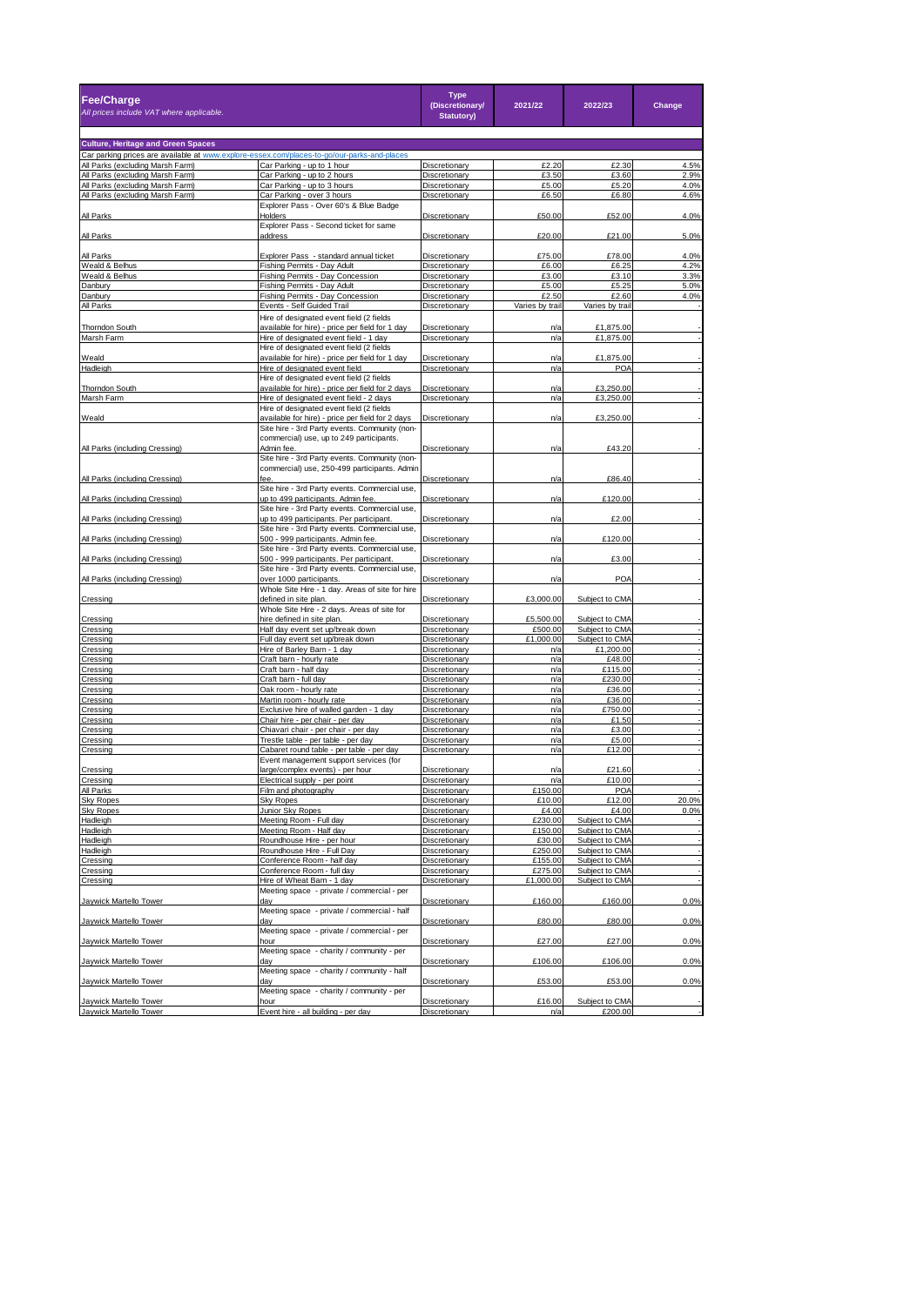| Fee/Charge<br>All prices include VAT where applicable.                                                                          |                                                                                                   | <b>Type</b><br>(Discretionary/<br><b>Statutory)</b> | 2021/22            | 2022/23                          | Change       |
|---------------------------------------------------------------------------------------------------------------------------------|---------------------------------------------------------------------------------------------------|-----------------------------------------------------|--------------------|----------------------------------|--------------|
|                                                                                                                                 |                                                                                                   |                                                     |                    |                                  |              |
| <b>Culture, Heritage and Green Spaces</b>                                                                                       |                                                                                                   |                                                     |                    |                                  |              |
| Car parking prices are available at www.explore-essex.com/places-to-go/our-parks-and-places<br>All Parks (excluding Marsh Farm) | Car Parking - up to 1 hour                                                                        | Discretionary                                       | £2.20              | £2.30                            | 4.5%         |
| All Parks (excluding Marsh Farm)                                                                                                | Car Parking - up to 2 hours                                                                       | Discretionary                                       | £3.50              | £3.60                            | 2.9%         |
| All Parks (excluding Marsh Farm)                                                                                                | Car Parking - up to 3 hours                                                                       | Discretionary                                       | £5.00              | £5.20                            | 4.0%         |
| All Parks (excluding Marsh Farm)                                                                                                | Car Parking - over 3 hours                                                                        | Discretionary                                       | £6.50              | £6.80                            | 4.6%         |
| All Parks                                                                                                                       | Explorer Pass - Over 60's & Blue Badge<br>Holders                                                 | Discretionary                                       | £50.00             | £52.00                           | 4.0%         |
| All Parks                                                                                                                       | Explorer Pass - Second ticket for same<br>address                                                 | Discretionary                                       | £20.00             | £21.00                           | 5.0%         |
|                                                                                                                                 |                                                                                                   |                                                     |                    |                                  |              |
| All Parks                                                                                                                       | Explorer Pass - standard annual ticket                                                            | Discretionary                                       | £75.00             | £78.00                           | 4.0%         |
| Weald & Belhus<br>Weald & Belhus                                                                                                | Fishing Permits - Day Adult                                                                       | Discretionary                                       | £6.00<br>£3.00     | £6.25                            | 4.2%<br>3.3% |
| Danbury                                                                                                                         | Fishing Permits - Day Concession<br>Fishing Permits - Day Adult                                   | Discretionary<br>Discretionary                      | £5.00              | £3.10<br>£5.25                   | 5.0%         |
| Danbury                                                                                                                         | Fishing Permits - Day Concession                                                                  | Discretionary                                       | £2.50              | £2.60                            | 4.0%         |
| All Parks                                                                                                                       | Events - Self Guided Trail                                                                        | Discretionary                                       | Varies by trail    | Varies by trail                  |              |
|                                                                                                                                 | Hire of designated event field (2 fields                                                          |                                                     |                    |                                  |              |
| <b>Thorndon South</b>                                                                                                           | available for hire) - price per field for 1 day                                                   | Discretionary                                       | n/a                | £1,875.00                        |              |
| Marsh Farm                                                                                                                      | Hire of designated event field - 1 day                                                            | Discretionary                                       | n/a                | £1,875.00                        |              |
|                                                                                                                                 | Hire of designated event field (2 fields                                                          |                                                     |                    |                                  |              |
| Weald                                                                                                                           | available for hire) - price per field for 1 day                                                   | Discretionary                                       | n/a                | £1,875.00                        |              |
| Hadleigh                                                                                                                        | Hire of designated event field                                                                    | Discretionary                                       | n/a                | POA                              |              |
|                                                                                                                                 | Hire of designated event field (2 fields                                                          |                                                     |                    |                                  |              |
| Thorndon South                                                                                                                  | available for hire) - price per field for 2 days                                                  | Discretionary                                       | n/a                | £3,250.00                        |              |
| Marsh Farm                                                                                                                      | Hire of designated event field - 2 days                                                           | Discretionary                                       | n/a                | £3,250.00                        |              |
|                                                                                                                                 | Hire of designated event field (2 fields                                                          |                                                     |                    |                                  |              |
| Weald                                                                                                                           | available for hire) - price per field for 2 days<br>Site hire - 3rd Party events. Community (non- | Discretionary                                       | n/a                | £3,250.00                        |              |
|                                                                                                                                 | commercial) use, up to 249 participants.                                                          |                                                     |                    |                                  |              |
| All Parks (including Cressing)                                                                                                  | Admin fee.<br>Site hire - 3rd Party events. Community (non-                                       | Discretionary                                       | n/a                | £43.20                           |              |
| All Parks (including Cressing)                                                                                                  | commercial) use, 250-499 participants. Admin<br>fee.                                              | Discretionary                                       | n/a                | £86.40                           |              |
| All Parks (including Cressing)                                                                                                  | Site hire - 3rd Party events. Commercial use,<br>up to 499 participants. Admin fee.               | Discretionary                                       | n/a                | £120.00                          |              |
|                                                                                                                                 | Site hire - 3rd Party events. Commercial use,<br>up to 499 participants. Per participant          |                                                     |                    |                                  |              |
| All Parks (including Cressing)                                                                                                  | Site hire - 3rd Party events. Commercial use,                                                     | Discretionary                                       | n/a                | £2.00                            |              |
| All Parks (including Cressing)                                                                                                  | 500 - 999 participants. Admin fee.<br>Site hire - 3rd Party events. Commercial use,               | <b>Discretionary</b>                                | n/a                | £120.00                          |              |
| All Parks (including Cressing)                                                                                                  | 500 - 999 participants. Per participant.<br>Site hire - 3rd Party events. Commercial use,         | Discretionary                                       | n/a                | £3.00                            |              |
| All Parks (including Cressing)                                                                                                  | over 1000 participants.<br>Whole Site Hire - 1 day. Areas of site for hire                        | Discretionary                                       | n/a                | POA                              |              |
| Cressing                                                                                                                        | defined in site plan.<br>Whole Site Hire - 2 days. Areas of site for                              | Discretionary                                       | £3,000.00          | Subject to CMA                   |              |
| Cressing                                                                                                                        | hire defined in site plan.                                                                        | Discretionary                                       | £5,500.00          | Subject to CMA                   |              |
| Cressing                                                                                                                        | Half day event set up/break down                                                                  | Discretionary                                       | £500.00            | Subject to CMA                   |              |
| Cressing                                                                                                                        | Full day event set up/break down                                                                  | Discretionary                                       | £1,000.00          | Subject to CMA                   |              |
| Cressing                                                                                                                        | Hire of Barley Barn - 1 day                                                                       | Discretionary                                       | n/a                | £1,200.00                        |              |
| Cressing                                                                                                                        | Craft barn - hourly rate                                                                          | Discretionary                                       | n/a                | £48.00                           |              |
| Cressing                                                                                                                        | Craft barn - half day                                                                             | Discretionary                                       | n/a                | £115.00                          |              |
| Cressing<br>Cressing                                                                                                            | Craft barn - full day<br>Oak room - hourly rate                                                   | Discretionary<br>Discretionary                      | n/a<br>n/a         | £230.00<br>£36.00                |              |
| Cressing                                                                                                                        | Martin room - hourly rate                                                                         | Discretionary                                       | n/a                | £36.00                           |              |
| Cressing                                                                                                                        | Exclusive hire of walled garden - 1 day                                                           | Discretionary                                       | n/a                | £750.00                          |              |
| Cressing                                                                                                                        | Chair hire - per chair - per day                                                                  | Discretionary                                       | n/a                | £1.50                            |              |
| Cressing                                                                                                                        | Chiavari chair - per chair - per day                                                              | Discretionary                                       | n/a                | £3.00                            |              |
| Cressing                                                                                                                        | Trestle table - per table - per day                                                               | Discretionary                                       | n/a                | £5.00                            |              |
| Cressing                                                                                                                        | Cabaret round table - per table - per day<br>Event management support services (for               | Discretionary                                       | n/a                | £12.00                           |              |
| Cressing                                                                                                                        | large/complex events) - per hour                                                                  | Discretionary                                       | n/a                | £21.60                           |              |
|                                                                                                                                 | trical supply                                                                                     |                                                     | n/a                |                                  |              |
| Cressing<br>All Parks                                                                                                           | Film and photography                                                                              | Discretionary                                       | £150.00            | POA                              |              |
| <b>Sky Ropes</b>                                                                                                                | Sky Ropes                                                                                         | Discretionary                                       | £10.00             | £12.00                           | 20.0%        |
| <b>Sky Ropes</b>                                                                                                                | Junior Sky Ropes                                                                                  | Discretionary                                       | £4.00              | £4.00                            | 0.0%         |
| Hadleigh                                                                                                                        | Meeting Room - Full day                                                                           | Discretionary                                       | £230.00            | Subject to CMA                   |              |
| Hadleigh                                                                                                                        | Meeting Room - Half day                                                                           | Discretionary                                       | £150.00            | Subject to CMA                   |              |
| Hadleigh                                                                                                                        | Roundhouse Hire - per hour                                                                        | Discretionary                                       | £30.00             | Subject to CMA                   |              |
| Hadleigh<br>Cressing                                                                                                            | Roundhouse Hire - Full Day<br>Conference Room - half day                                          | Discretionary                                       | £250.00<br>£155.00 | Subject to CMA<br>Subject to CMA |              |
|                                                                                                                                 |                                                                                                   | Discretionary<br>Discretionary                      | £275.00            | Subject to CMA                   |              |
| Cressing<br>Cressing                                                                                                            | Conference Room - full day<br>Hire of Wheat Barn - 1 day                                          | Discretionary                                       | £1,000.00          | Subject to CMA                   |              |
|                                                                                                                                 | Meeting space - private / commercial - per                                                        |                                                     |                    |                                  |              |
| Jaywick Martello Tower                                                                                                          | day<br>Meeting space - private / commercial - half                                                | Discretionary                                       | £160.00            | £160.00                          | 0.0%         |
| Jaywick Martello Tower                                                                                                          | dav<br>Meeting space - private / commercial - per                                                 | Discretionary                                       | £80.00             | £80.00                           | 0.0%         |
| Jaywick Martello Tower                                                                                                          | hour<br>Meeting space - charity / community - per                                                 | Discretionary                                       | £27.00             | £27.00                           | 0.0%         |
| Jaywick Martello Tower                                                                                                          | day<br>Meeting space - charity / community - half                                                 | Discretionary                                       | £106.00            | £106.00                          | 0.0%         |
| Jaywick Martello Tower                                                                                                          | day                                                                                               | Discretionary                                       | £53.00             | £53.00                           | 0.0%         |
| Jaywick Martello Tower                                                                                                          | Meeting space - charity / community - per<br>hour                                                 | Discretionary                                       | £16.00             | Subject to CMA                   |              |
| Jaywick Martello Tower                                                                                                          | Event hire - all building - per day                                                               | Discretionary                                       | n/ε                | £200.00                          |              |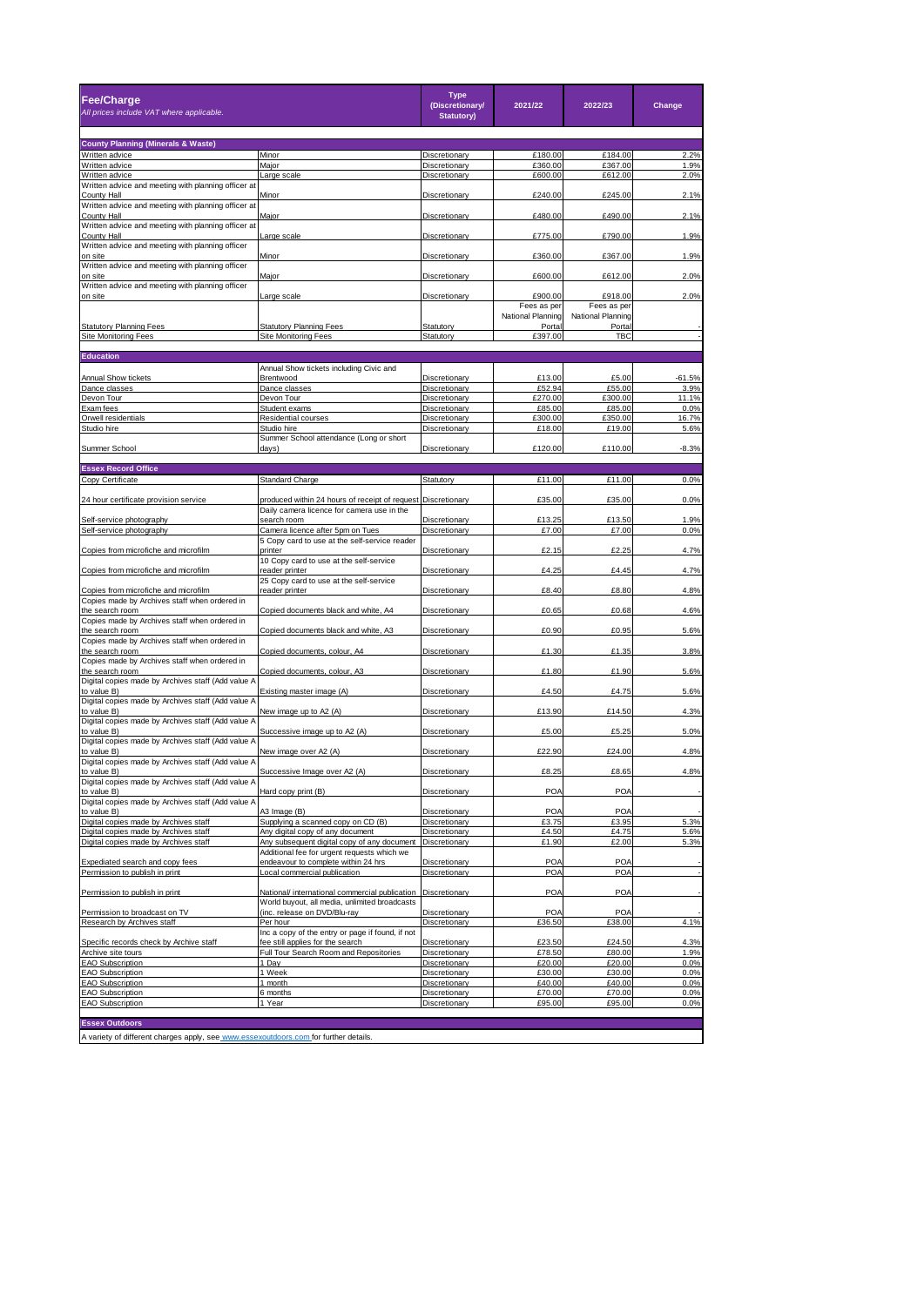| Fee/Charge<br>All prices include VAT where applicable.                               |                                                                                    | <b>Type</b><br>(Discretionary/<br><b>Statutory)</b> | 2021/22                | 2022/23                | Change        |  |  |
|--------------------------------------------------------------------------------------|------------------------------------------------------------------------------------|-----------------------------------------------------|------------------------|------------------------|---------------|--|--|
| <b>County Planning (Minerals &amp; Waste)</b>                                        |                                                                                    |                                                     |                        |                        |               |  |  |
| Written advice                                                                       | Minor                                                                              | Discretionary                                       | £180.00                | £184.00                | 2.2%          |  |  |
| Written advice                                                                       | Major                                                                              | Discretionary                                       | £360.00                | £367.00                | 1.9%          |  |  |
| Written advice<br>Written advice and meeting with planning officer at                | arge scale                                                                         | Discretionary                                       | £600.00                | £612.00                | 2.0%          |  |  |
| <b>County Hall</b>                                                                   | Minor                                                                              | Discretionary                                       | £240.00                | £245.00                | 2.1%          |  |  |
| Written advice and meeting with planning officer at                                  |                                                                                    |                                                     |                        |                        |               |  |  |
| <b>County Hall</b><br>Written advice and meeting with planning officer at            | Major                                                                              | Discretionary                                       | £480.00                | £490.00                | 2.1%          |  |  |
| <b>County Hall</b>                                                                   | arge scale                                                                         | Discretionary                                       | £775.00                | £790.00                | 1.9%          |  |  |
| Written advice and meeting with planning officer                                     |                                                                                    |                                                     |                        |                        |               |  |  |
| on site<br>Written advice and meeting with planning officer                          | Minor                                                                              | Discretionary                                       | £360.00                | £367.00                | 1.9%          |  |  |
| on site                                                                              | Major                                                                              | Discretionary                                       | £600.00                | £612.00                | 2.0%          |  |  |
| Written advice and meeting with planning officer                                     |                                                                                    |                                                     |                        |                        |               |  |  |
| on site                                                                              | Large scale                                                                        | Discretionary                                       | £900.00<br>Fees as per | £918.00<br>Fees as per | 2.0%          |  |  |
|                                                                                      |                                                                                    |                                                     | National Planning      | National Planning      |               |  |  |
| <b>Statutory Planning Fees</b>                                                       | <b>Statutory Planning Fees</b>                                                     | Statutory                                           | Portal                 | Portal                 |               |  |  |
| Site Monitoring Fees                                                                 | <b>Site Monitoring Fees</b>                                                        | Statutory                                           | £397.00                | TBC                    |               |  |  |
| <b>Education</b>                                                                     |                                                                                    |                                                     |                        |                        |               |  |  |
|                                                                                      | Annual Show tickets including Civic and                                            |                                                     |                        |                        |               |  |  |
| Annual Show tickets                                                                  | Brentwood                                                                          | Discretionary                                       | £13.00                 | £5.00                  | $-61.5%$      |  |  |
| Dance classes                                                                        | Dance classes                                                                      | Discretionary                                       | £52.94                 | £55.00                 | 3.9%          |  |  |
| Devon Tour<br>Exam fees                                                              | Devon Tour<br>Student exams                                                        | Discretionary<br>Discretionary                      | £270.00<br>£85.00      | £300.00<br>£85.00      | 11.1%<br>0.0% |  |  |
| Orwell residentials                                                                  | <b>Residential courses</b>                                                         | Discretionary                                       | £300.00                | £350.00                | 16.7%         |  |  |
| Studio hire                                                                          | Studio hire                                                                        | Discretionary                                       | £18.00                 | £19.00                 | 5.6%          |  |  |
| Summer School                                                                        | Summer School attendance (Long or short                                            |                                                     |                        |                        |               |  |  |
|                                                                                      | days)                                                                              | Discretionary                                       | £120.00                | £110.00                | $-8.3%$       |  |  |
| <b>Essex Record Office</b>                                                           |                                                                                    |                                                     |                        |                        |               |  |  |
| Copy Certificate                                                                     | <b>Standard Charge</b>                                                             | Statutory                                           | £11.00                 | £11.00                 | 0.0%          |  |  |
| 24 hour certificate provision service                                                | produced within 24 hours of receipt of request Discretionary                       |                                                     | £35.00                 | £35.00                 | 0.0%          |  |  |
|                                                                                      | Daily camera licence for camera use in the<br>search roon                          |                                                     | £13.25                 | £13.50                 | 1.9%          |  |  |
| Self-service photography<br>Self-service photography                                 | Camera licence after 5pm on Tues                                                   | Discretionary<br>Discretionary                      | £7.00                  | £7.00                  | 0.0%          |  |  |
|                                                                                      | 5 Copy card to use at the self-service reader                                      |                                                     |                        |                        |               |  |  |
| Copies from microfiche and microfilm                                                 | printer                                                                            | Discretionary                                       | £2.15                  | £2.25                  | 4.7%          |  |  |
| Copies from microfiche and microfilm                                                 | 10 Copy card to use at the self-service<br>reader printer                          | Discretionary                                       | £4.25                  | £4.45                  | 4.7%          |  |  |
|                                                                                      | 25 Copy card to use at the self-service                                            |                                                     |                        |                        |               |  |  |
| Copies from microfiche and microfilm                                                 | reader printer                                                                     | Discretionary                                       | £8.40                  | £8.80                  | 4.8%          |  |  |
| Copies made by Archives staff when ordered in<br>the search room                     | Copied documents black and white, A4                                               | Discretionary                                       | £0.65                  | £0.68                  | 4.6%          |  |  |
| Copies made by Archives staff when ordered in                                        |                                                                                    |                                                     |                        |                        |               |  |  |
| the search room                                                                      | Copied documents black and white, A3                                               | Discretionary                                       | £0.90                  | £0.95                  | 5.6%          |  |  |
| Copies made by Archives staff when ordered in<br>the search room                     | Copied documents, colour, A4                                                       | Discretionary                                       | £1.30                  | £1.35                  | 3.8%          |  |  |
| Copies made by Archives staff when ordered in                                        |                                                                                    |                                                     |                        |                        |               |  |  |
| the search room                                                                      | Copied documents, colour, A3                                                       | Discretionary                                       | £1.80                  | £1.90                  | 5.6%          |  |  |
| Digital copies made by Archives staff (Add value A<br>to value B)                    | Existing master image (A)                                                          | Discretionary                                       | £4.50                  | £4.75                  | 5.6%          |  |  |
| Digital copies made by Archives staff (Add value A                                   |                                                                                    |                                                     |                        |                        |               |  |  |
| to value B)                                                                          | New image up to A2 (A)                                                             | Discretionary                                       | £13.90                 | £14.50                 | 4.3%          |  |  |
| Digital copies made by Archives staff (Add value A<br>to value B)                    | Successive image up to A2 (A)                                                      |                                                     | £5.00                  | £5.25                  | 5.0%          |  |  |
| Digital copies made by Archives staff (Add value A                                   |                                                                                    | <b>Discretionary</b>                                |                        |                        |               |  |  |
| to value B)                                                                          | New image over A2 (A)                                                              | Discretionary                                       | £22.90                 | £24.00                 | 4.8%          |  |  |
| Digital copies made by Archives staff (Add value A                                   |                                                                                    |                                                     | £8.25                  | £8.65                  | 4.8%          |  |  |
| to value B)<br>Digital copies made by Archives staff (Add value A                    | Successive Image over A2 (A)                                                       | Discretionary                                       |                        |                        |               |  |  |
| to value B)                                                                          | Hard copy print (B)                                                                | <b>Discretionary</b>                                | POA                    | POA                    |               |  |  |
| Digital copies made by Archives staff (Add value A                                   |                                                                                    |                                                     |                        |                        |               |  |  |
| to value B)<br>Digital copies made by Archives staff                                 | A3 Image (B)<br>Supplying a scanned copy on CD (B)                                 | Discretionary<br>Discretionary                      | POA<br>£3.75           | POA<br>£3.95           | 5.3%          |  |  |
| Digital copies made by Archives staff                                                | Any digital copy of any documen                                                    | Discretionary                                       | £4.50                  | £4.75                  | 5.6%          |  |  |
| Digital copies made by Archives staff                                                | Any subsequent digital copy of any document                                        | Discretionary                                       | £1.90                  | £2.00                  | 5.3%          |  |  |
|                                                                                      | Additional fee for urgent requests which we<br>endeavour to complete within 24 hrs |                                                     | POA                    | POA                    |               |  |  |
| Expediated search and copy fees<br>Permission to publish in print                    | Local commercial publication                                                       | Discretionary<br>Discretionary                      | POA                    | <b>POA</b>             |               |  |  |
|                                                                                      |                                                                                    |                                                     |                        |                        |               |  |  |
| Permission to publish in print                                                       | National/ international commercial publication                                     | Discretionary                                       | POA                    | POA                    |               |  |  |
| Permission to broadcast on TV                                                        | World buyout, all media, unlimited broadcasts<br>(inc. release on DVD/Blu-ray      | Discretionary                                       | POA                    | POA                    |               |  |  |
| Research by Archives staff                                                           | Per hour                                                                           | Discretionary                                       | £36.50                 | £38.00                 | 4.1%          |  |  |
|                                                                                      | Inc a copy of the entry or page if found, if not                                   |                                                     |                        |                        |               |  |  |
| Specific records check by Archive staff                                              | fee still applies for the search<br>Full Tour Search Room and Repositories         | Discretionary                                       | £23.50                 | £24.50<br>£80.00       | 4.3%<br>1.9%  |  |  |
| Archive site tours<br><b>EAO Subscription</b>                                        | 1 Day                                                                              | Discretionary<br>Discretionary                      | £78.50<br>£20.00       | £20.00                 | 0.0%          |  |  |
| <b>EAO Subscription</b>                                                              | Week                                                                               | Discretionary                                       | £30.00                 | £30.00                 | 0.0%          |  |  |
| <b>EAO Subscription</b>                                                              | 1 month                                                                            | Discretionary                                       | £40.00                 | £40.00                 | 0.0%          |  |  |
| <b>EAO Subscription</b><br><b>EAO Subscription</b>                                   | 6 months<br>1 Year                                                                 | Discretionary<br>Discretionary                      | £70.00<br>£95.00       | £70.00<br>£95.00       | 0.0%<br>0.0%  |  |  |
|                                                                                      |                                                                                    |                                                     |                        |                        |               |  |  |
| <b>Essex Outdoors</b>                                                                |                                                                                    |                                                     |                        |                        |               |  |  |
| A variety of different charges apply, see www.essexoutdoors.com for further details. |                                                                                    |                                                     |                        |                        |               |  |  |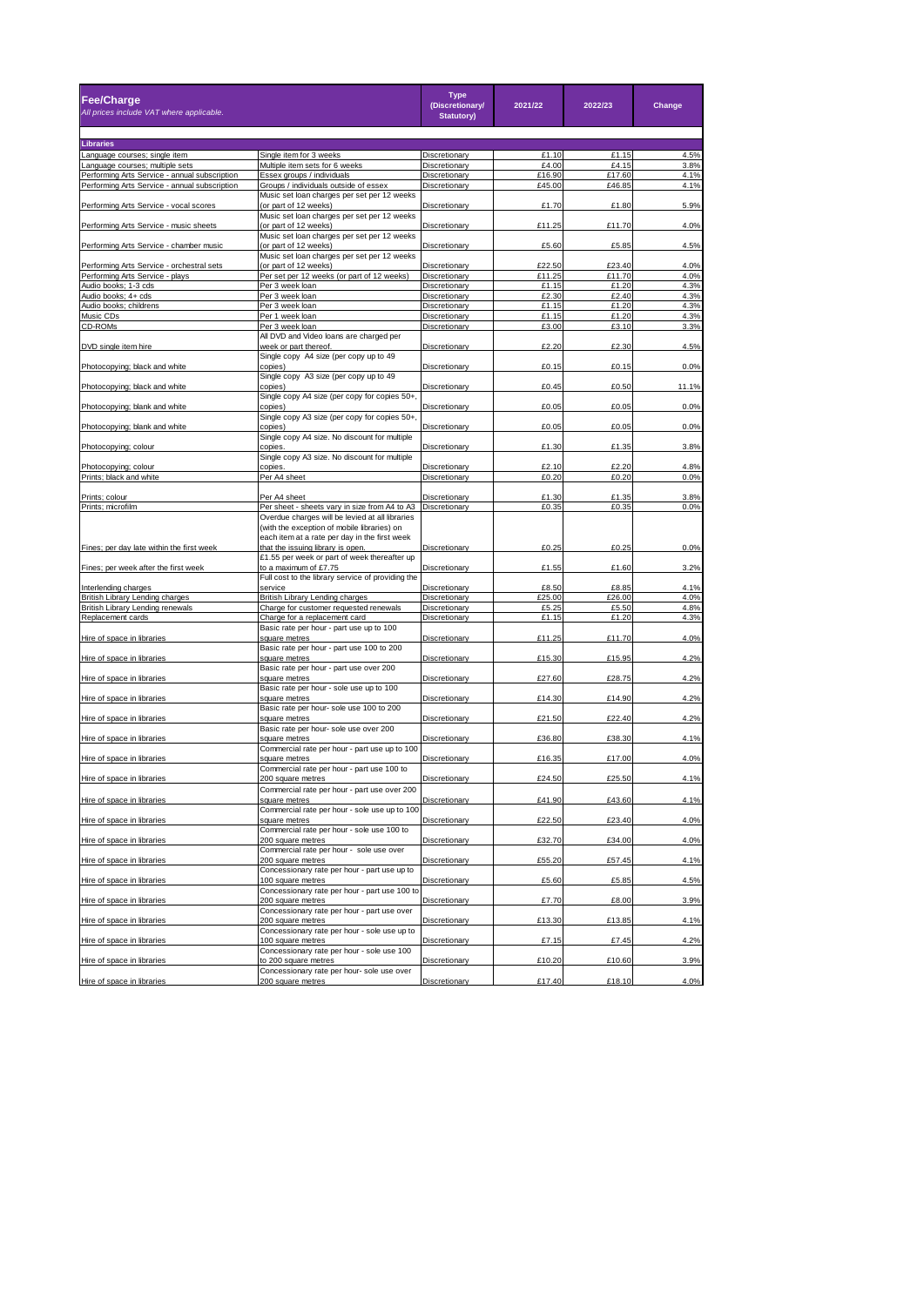| Fee/Charge<br>All prices include VAT where applicable.           |                                                                                                                                                                                      | <b>Type</b><br>(Discretionary/<br><b>Statutory)</b> | 2021/22 | 2022/23 | Change |
|------------------------------------------------------------------|--------------------------------------------------------------------------------------------------------------------------------------------------------------------------------------|-----------------------------------------------------|---------|---------|--------|
|                                                                  |                                                                                                                                                                                      |                                                     |         |         |        |
| <b>Libraries</b>                                                 | Single item for 3 weeks                                                                                                                                                              | Discretionary                                       | £1.10   | £1.15   | 4.5%   |
| Language courses; single item<br>Language courses; multiple sets | Multiple item sets for 6 weeks                                                                                                                                                       | Discretionary                                       | £4.00   | £4.15   | 3.8%   |
| Performing Arts Service - annual subscription                    | Essex groups / individuals                                                                                                                                                           | Discretionary                                       | £16.90  | £17.60  | 4.1%   |
| Performing Arts Service - annual subscription                    | Groups / individuals outside of essex                                                                                                                                                | Discretionary                                       | £45.00  | £46.85  | 4.1%   |
|                                                                  | Music set loan charges per set per 12 weeks                                                                                                                                          |                                                     |         |         |        |
| Performing Arts Service - vocal scores                           | (or part of 12 weeks)                                                                                                                                                                | Discretionary                                       | £1.70   | £1.80   | 5.9%   |
|                                                                  | Music set loan charges per set per 12 weeks                                                                                                                                          |                                                     |         |         |        |
| Performing Arts Service - music sheets                           | (or part of 12 weeks)<br>Music set loan charges per set per 12 weeks                                                                                                                 | Discretionary                                       | £11.25  | £11.70  | 4.0%   |
| Performing Arts Service - chamber music                          | (or part of 12 weeks)                                                                                                                                                                | Discretionary                                       | £5.60   | £5.85   | 4.5%   |
|                                                                  | Music set loan charges per set per 12 weeks                                                                                                                                          |                                                     |         |         |        |
| Performing Arts Service - orchestral sets                        | (or part of 12 weeks)                                                                                                                                                                | Discretionary                                       | £22.50  | £23.40  | 4.0%   |
| Performing Arts Service - plays                                  | Per set per 12 weeks (or part of 12 weeks)                                                                                                                                           | Discretionary                                       | £11.25  | £11.70  | 4.0%   |
| Audio books; 1-3 cds                                             | Per 3 week loan                                                                                                                                                                      | Discretionary                                       | £1.15   | £1.20   | 4.3%   |
| Audio books; 4+ cds                                              | Per 3 week loan                                                                                                                                                                      | Discretionary                                       | £2.30   | £2.40   | 4.3%   |
| Audio books; childrens                                           | Per 3 week loan                                                                                                                                                                      | Discretionary                                       | £1.15   | £1.20   | 4.3%   |
| Music CDs                                                        | Per 1 week loan                                                                                                                                                                      | Discretionary                                       | £1.15   | £1.20   | 4.3%   |
| CD-ROMs                                                          | Per 3 week loan                                                                                                                                                                      | Discretionary                                       | £3.00   | £3.10   | 3.3%   |
|                                                                  | All DVD and Video loans are charged per                                                                                                                                              |                                                     |         |         |        |
| DVD single item hire                                             | week or part thereof                                                                                                                                                                 | Discretionary                                       | £2.20   | £2.30   | 4.5%   |
| Photocopying; black and white                                    | Single copy A4 size (per copy up to 49<br>copies)                                                                                                                                    | Discretionary                                       | £0.15   | £0.15   | 0.0%   |
|                                                                  | Single copy A3 size (per copy up to 49                                                                                                                                               |                                                     |         |         |        |
| Photocopying; black and white                                    | copies <sup>®</sup>                                                                                                                                                                  | Discretionary                                       | £0.45   | £0.50   | 11.1%  |
|                                                                  | Single copy A4 size (per copy for copies 50+                                                                                                                                         |                                                     |         |         |        |
| Photocopying; blank and white                                    | copies)                                                                                                                                                                              | Discretionary                                       | £0.05   | £0.05   | 0.0%   |
|                                                                  | Single copy A3 size (per copy for copies 50+,                                                                                                                                        |                                                     |         |         |        |
| Photocopying; blank and white                                    | copies)                                                                                                                                                                              | Discretionary                                       | £0.05   | £0.05   | 0.0%   |
|                                                                  | Single copy A4 size. No discount for multiple                                                                                                                                        |                                                     |         |         |        |
| Photocopying; colour                                             | copies                                                                                                                                                                               | Discretionary                                       | £1.30   | £1.35   | 3.8%   |
|                                                                  | Single copy A3 size. No discount for multiple                                                                                                                                        |                                                     |         |         |        |
| Photocopying; colour                                             | copies                                                                                                                                                                               | Discretionary                                       | £2.10   | £2.20   | 4.8%   |
| Prints; black and white                                          | Per A4 sheet                                                                                                                                                                         | Discretionary                                       | £0.20   | £0.20   | 0.0%   |
|                                                                  |                                                                                                                                                                                      |                                                     |         |         |        |
| Prints; colour                                                   | Per A4 sheet                                                                                                                                                                         | Discretionary                                       | £1.30   | £1.35   | 3.8%   |
| Prints; microfilm                                                | Per sheet - sheets vary in size from A4 to A3                                                                                                                                        | Discretionary                                       | £0.35   | £0.35   | 0.0%   |
| Fines; per day late within the first week                        | Overdue charges will be levied at all libraries<br>(with the exception of mobile libraries) on<br>each item at a rate per day in the first week<br>that the issuing library is open. | Discretionary                                       | £0.25   | £0.25   | 0.0%   |
|                                                                  | £1.55 per week or part of week thereafter up                                                                                                                                         |                                                     |         |         |        |
| Fines; per week after the first week                             | to a maximum of £7.75                                                                                                                                                                | Discretionary                                       | £1.55   | £1.60   | 3.2%   |
|                                                                  | Full cost to the library service of providing the                                                                                                                                    |                                                     |         |         |        |
| Interlending charges                                             | service                                                                                                                                                                              | Discretionary                                       | £8.50   | £8.85   | 4.1%   |
| British Library Lending charges                                  | British Library Lending charges                                                                                                                                                      | Discretionary                                       | £25.00  | £26.00  | 4.0%   |
| British Library Lending renewals                                 | Charge for customer requested renewals                                                                                                                                               | Discretionary                                       | £5.25   | £5.50   | 4.8%   |
| Replacement cards                                                | Charge for a replacement card                                                                                                                                                        | Discretionary                                       | £1.15   | £1.20   | 4.3%   |
|                                                                  | Basic rate per hour - part use up to 100                                                                                                                                             |                                                     |         |         |        |
| Hire of space in libraries                                       | square metres                                                                                                                                                                        | Discretionary                                       | £11.25  | £11.70  | 4.0%   |
|                                                                  | Basic rate per hour - part use 100 to 200                                                                                                                                            |                                                     |         |         |        |
| Hire of space in libraries                                       | square metres                                                                                                                                                                        | Discretionary                                       | £15.30  | £15.95  | 4.2%   |
|                                                                  | Basic rate per hour - part use over 200                                                                                                                                              |                                                     |         |         |        |
| Hire of space in libraries                                       | square metres<br>Basic rate per hour - sole use up to 100                                                                                                                            | Discretionary                                       | £27.60  | £28.75  | 4.2%   |
| Hire of space in libraries                                       | square metres                                                                                                                                                                        | Discretionary                                       | £14.30  | £14.90  | 4.2%   |
|                                                                  | Basic rate per hour- sole use 100 to 200                                                                                                                                             |                                                     |         |         |        |
| Hire of space in libraries                                       | square metres                                                                                                                                                                        | Discretionary                                       | £21.50  | £22.40  | 4.2%   |
|                                                                  | Basic rate per hour- sole use over 200                                                                                                                                               |                                                     |         |         |        |
| Hire of space in libraries                                       | square metres                                                                                                                                                                        | Discretionary                                       | £36.80  | £38.30  | 4.1%   |
|                                                                  | Commercial rate per hour - part use up to 100                                                                                                                                        |                                                     |         |         |        |
| Hire of space in libraries                                       | square metres                                                                                                                                                                        | Discretionary                                       | £16.35  | £17.00  | 4.0%   |
|                                                                  | Commercial rate per hour - part use 100 to                                                                                                                                           |                                                     |         |         |        |
| Hire of space in libraries                                       | 200 square metres                                                                                                                                                                    | Discretionary                                       | £24.50  | £25.50  | 4.1%   |
|                                                                  | Commercial rate per hour - part use over 200                                                                                                                                         |                                                     |         |         |        |
| Hire of space in libraries                                       |                                                                                                                                                                                      | Discretionary                                       | £41.90  | £43.60  | 4.1%   |
|                                                                  | Commercial rate per hour - sole use up to 100                                                                                                                                        |                                                     |         |         |        |
| Hire of space in libraries                                       | square metres                                                                                                                                                                        | Discretionary                                       | £22.50  | £23.40  | 4.0%   |
|                                                                  | Commercial rate per hour - sole use 100 to                                                                                                                                           |                                                     |         |         |        |
| Hire of space in libraries                                       | 200 square metres                                                                                                                                                                    | Discretionary                                       | £32.70  | £34.00  | 4.0%   |
|                                                                  | Commercial rate per hour - sole use over<br>200 square metres                                                                                                                        | Discretionary                                       |         |         |        |
| Hire of space in libraries                                       | Concessionary rate per hour - part use up to                                                                                                                                         |                                                     | £55.20  | £57.45  | 4.1%   |
| Hire of space in libraries                                       | 100 square metres                                                                                                                                                                    | Discretionary                                       | £5.60   | £5.85   | 4.5%   |
|                                                                  | Concessionary rate per hour - part use 100 to                                                                                                                                        |                                                     |         |         |        |
| Hire of space in libraries                                       | 200 square metres                                                                                                                                                                    | Discretionary                                       | £7.70   | £8.00   | 3.9%   |
|                                                                  | Concessionary rate per hour - part use over                                                                                                                                          |                                                     |         |         |        |
| Hire of space in libraries                                       | 200 square metres                                                                                                                                                                    | Discretionary                                       | £13.30  | £13.85  | 4.1%   |
|                                                                  | Concessionary rate per hour - sole use up to                                                                                                                                         |                                                     |         |         |        |
| Hire of space in libraries                                       | 100 square metres                                                                                                                                                                    | Discretionary                                       | £7.15   | £7.45   | 4.2%   |
|                                                                  | Concessionary rate per hour - sole use 100                                                                                                                                           |                                                     |         |         |        |
| Hire of space in libraries                                       | to 200 square metres                                                                                                                                                                 | Discretionary                                       | £10.20  | £10.60  | 3.9%   |
|                                                                  | Concessionary rate per hour- sole use over                                                                                                                                           |                                                     |         |         |        |
| Hire of space in libraries                                       | 200 square metres                                                                                                                                                                    | Discretionary                                       | £17.40  | £18.10  | 4.0%   |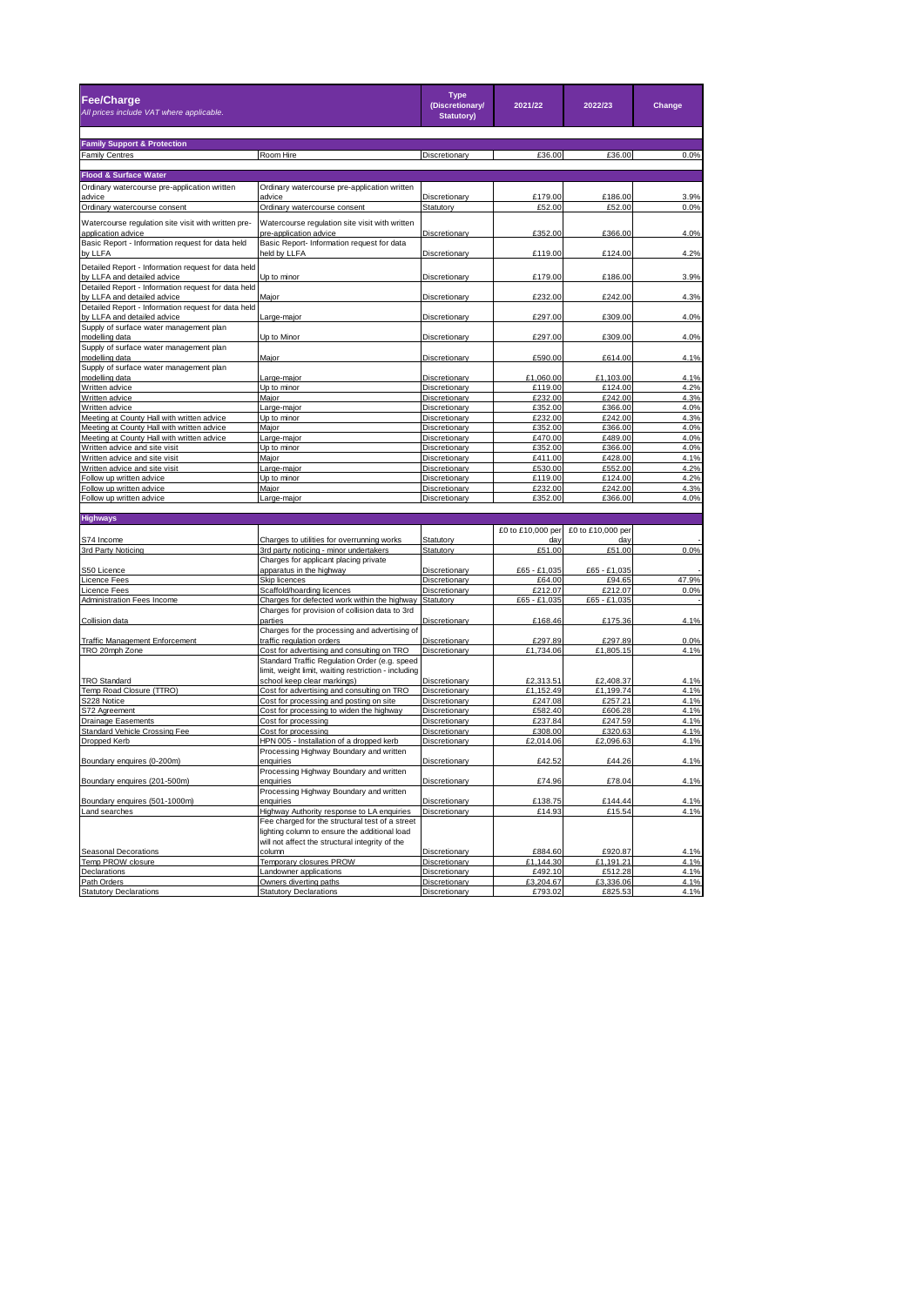| <b>Fee/Charge</b><br>All prices include VAT where applicable.                      |                                                                                                  | <b>Type</b><br>(Discretionary/<br><b>Statutory)</b> | 2021/22              | 2022/23              | Change        |
|------------------------------------------------------------------------------------|--------------------------------------------------------------------------------------------------|-----------------------------------------------------|----------------------|----------------------|---------------|
| <b>Family Support &amp; Protection</b>                                             |                                                                                                  |                                                     |                      |                      |               |
| <b>Family Centres</b>                                                              | Room Hire                                                                                        | Discretionary                                       | £36.00               | £36.00               | 0.0%          |
|                                                                                    |                                                                                                  |                                                     |                      |                      |               |
| <b>Flood &amp; Surface Water</b>                                                   |                                                                                                  |                                                     |                      |                      |               |
| Ordinary watercourse pre-application written                                       | Ordinary watercourse pre-application written<br>advice                                           | Discretionary                                       | £179.00              | £186.00              | 3.9%          |
| advice<br>Ordinary watercourse consent                                             | Ordinary watercourse consent                                                                     | Statutory                                           | £52.00               | £52.00               | 0.0%          |
| Watercourse regulation site visit with written pre-<br>application advice          | Watercourse regulation site visit with written<br>pre-application advice                         | Discretionary                                       | £352.00              | £366.00              | 4.0%          |
| Basic Report - Information request for data held                                   | Basic Report- Information request for data                                                       |                                                     |                      |                      |               |
| by LLFA                                                                            | held by LLFA                                                                                     | Discretionary                                       | £119.00              | £124.00              | 4.2%          |
| Detailed Report - Information request for data held<br>by LLFA and detailed advice | Up to minor                                                                                      | Discretionary                                       | £179.00              | £186.00              | 3.9%          |
| Detailed Report - Information request for data held<br>by LLFA and detailed advice | Major                                                                                            | Discretionary                                       | £232.00              | £242.00              | 4.3%          |
| Detailed Report - Information request for data held                                |                                                                                                  |                                                     | £297.00              | £309.00              |               |
| by LLFA and detailed advice<br>Supply of surface water management plan             | arge-major.                                                                                      | Discretionary                                       |                      |                      | 4.0%          |
| modelling data                                                                     | Up to Minor                                                                                      | Discretionary                                       | £297.00              | £309.00              | 4.0%          |
| Supply of surface water management plan<br>modelling data                          | Major                                                                                            | Discretionary                                       | £590.00              | £614.00              | 4.1%          |
| Supply of surface water management plan                                            |                                                                                                  |                                                     |                      |                      |               |
| modelling data                                                                     | arge-major                                                                                       | Discretionary                                       | £1,060.00            | £1,103.00            | 4.1%          |
| Written advice<br>Written advice                                                   | Up to minor<br>Major                                                                             | Discretionary<br>Discretionary                      | £119.00<br>£232.00   | £124.00<br>£242.00   | 4.2%<br>4.3%  |
| Written advice                                                                     | Large-major                                                                                      | Discretionary                                       | £352.00              | £366.00              | 4.0%          |
| Meeting at County Hall with written advice                                         | Up to minor                                                                                      | Discretionary                                       | £232.00              | £242.00              | 4.3%          |
| Meeting at County Hall with written advice                                         | Major                                                                                            | Discretionary                                       | £352.00              | £366.00              | 4.0%          |
| Meeting at County Hall with written advice                                         | _arge-major                                                                                      | Discretionary                                       | £470.00              | £489.00              | 4.0%          |
| Written advice and site visit                                                      | Up to minor                                                                                      | Discretionary                                       | £352.00              | £366.00              | 4.0%          |
| Written advice and site visit                                                      | Major                                                                                            | Discretionary                                       | £411.00              | £428.00              | 4.1%          |
| Written advice and site visit                                                      | Large-major                                                                                      | Discretionary                                       | £530.00              | £552.00              | 4.2%          |
| Follow up written advice                                                           | Up to minor                                                                                      | Discretionary                                       | £119.00              | £124.00              | 4.2%          |
| Follow up written advice                                                           | Maior                                                                                            | Discretionary                                       | £232.00<br>£352.00   | £242.00              | 4.3%          |
| Follow up written advice                                                           | Large-major                                                                                      | Discretionary                                       |                      | £366.00              | 4.0%          |
| <b>Highways</b>                                                                    |                                                                                                  |                                                     |                      |                      |               |
|                                                                                    |                                                                                                  |                                                     | £0 to £10,000 per    | £0 to £10,000 per    |               |
| S74 Income                                                                         | Charges to utilities for overrunning works                                                       | Statutory                                           |                      |                      |               |
| 3rd Party Noticing                                                                 | 3rd party noticing - minor undertakers                                                           | Statutory                                           | £51.00               | £51.00               | 0.0%          |
|                                                                                    | Charges for applicant placing private                                                            |                                                     |                      |                      |               |
| S50 Licence                                                                        | apparatus in the highway                                                                         | Discretionary                                       | £65 - £1,035         | £65 - £1,035         |               |
| Licence Fees<br>Licence Fees                                                       | Skip licences<br>Scaffold/hoarding licences                                                      | <b>Discretionary</b><br>Discretionary               | £64.00<br>£212.07    | £94.65<br>£212.07    | 47.9%<br>0.0% |
| Administration Fees Income                                                         | Charges for defected work within the highway                                                     | Statutory                                           | £65 - £1,035         | £65 - £1,035         |               |
|                                                                                    | Charges for provision of collision data to 3rd                                                   |                                                     |                      |                      |               |
| Collision data                                                                     | parties<br>Charges for the processing and advertising of                                         | Discretionary                                       | £168.46              | £175.36              | 4.1%          |
| <b>Traffic Management Enforcement</b>                                              | traffic regulation orders                                                                        | <b>Discretionary</b>                                | £297.89              | £297.89              | 0.0%          |
| TRO 20mph Zone                                                                     | Cost for advertising and consulting on TRO                                                       | Discretionary                                       | £1,734.06            | £1,805.15            | 4.1%          |
|                                                                                    | Standard Traffic Regulation Order (e.g. speed                                                    |                                                     |                      |                      |               |
| <b>TRO Standard</b>                                                                | limit, weight limit, waiting restriction - including<br>school keep clear markings)              | Discretionary                                       | £2,313.51            | £2,408.37            | 4.1%          |
| Temp Road Closure (TTRO)                                                           | Cost for advertising and consulting on TRO                                                       | Discretionary                                       | £1,152.49            | £1,199.74            | 4.1%          |
| S228 Notice                                                                        | Cost for processing and posting on site                                                          | Discretionary                                       | £247.08              | £257.21              | 4.1%          |
| S72 Agreement                                                                      | Cost for processing to widen the highway                                                         | Discretionary                                       | £582.40              | £606.28              | 4.1%          |
| <b>Drainage Easements</b>                                                          | Cost for processing                                                                              | Discretionary                                       | £237.84              | £247.59              | 4.1%          |
| Standard Vehicle Crossing Fee                                                      | Cost for processing                                                                              | Discretionary                                       | £308.00              | £320.63              | 4.1%          |
| Dropped Kerb                                                                       | HPN 005 - Installation of a dropped kerb                                                         | Discretionary                                       | £2,014.06            | £2,096.63            | 4.1%          |
| Boundary enquires (0-200m)                                                         | Processing Highway Boundary and written<br>enquiries                                             | Discretionary                                       | £42.52               | £44.26               | 4.1%          |
|                                                                                    | Processing Highway Boundary and written                                                          |                                                     |                      |                      |               |
| Boundary enquires (201-500m)                                                       | enquiries<br>Processing Highway Boundary and written                                             | Discretionary                                       | £74.96               | £78.04               | 4.1%          |
| Boundary enquires (501-1000m)                                                      | enquiries                                                                                        | Discretionary                                       | £138.75              | £144.44              | 4.1%          |
| Land searches                                                                      | Highway Authority response to LA enquiries                                                       | Discretionary                                       | £14.93               | £15.54               | 4.1%          |
|                                                                                    | Fee charged for the structural test of a street<br>lighting column to ensure the additional load |                                                     |                      |                      |               |
|                                                                                    | will not affect the structural integrity of the                                                  |                                                     |                      |                      |               |
| Seasonal Decorations<br>Temp PROW closure                                          | column                                                                                           | Discretionary                                       | £884.60              | £920.87              | 4.1%          |
|                                                                                    | Temporary closures PROW                                                                          | Discretionary                                       | £1,144.30            | £1,191.21            | 4.1%          |
| <b>Declarations</b><br>Path Orders                                                 | Landowner applications                                                                           | Discretionary<br>Discretionary                      | £492.10<br>£3,204.67 | £512.28              | 4.1%<br>4.1%  |
| <b>Statutory Declarations</b>                                                      | Owners diverting paths<br><b>Statutory Declarations</b>                                          | Discretionary                                       | £793.02              | £3,336.06<br>£825.53 | 4.1%          |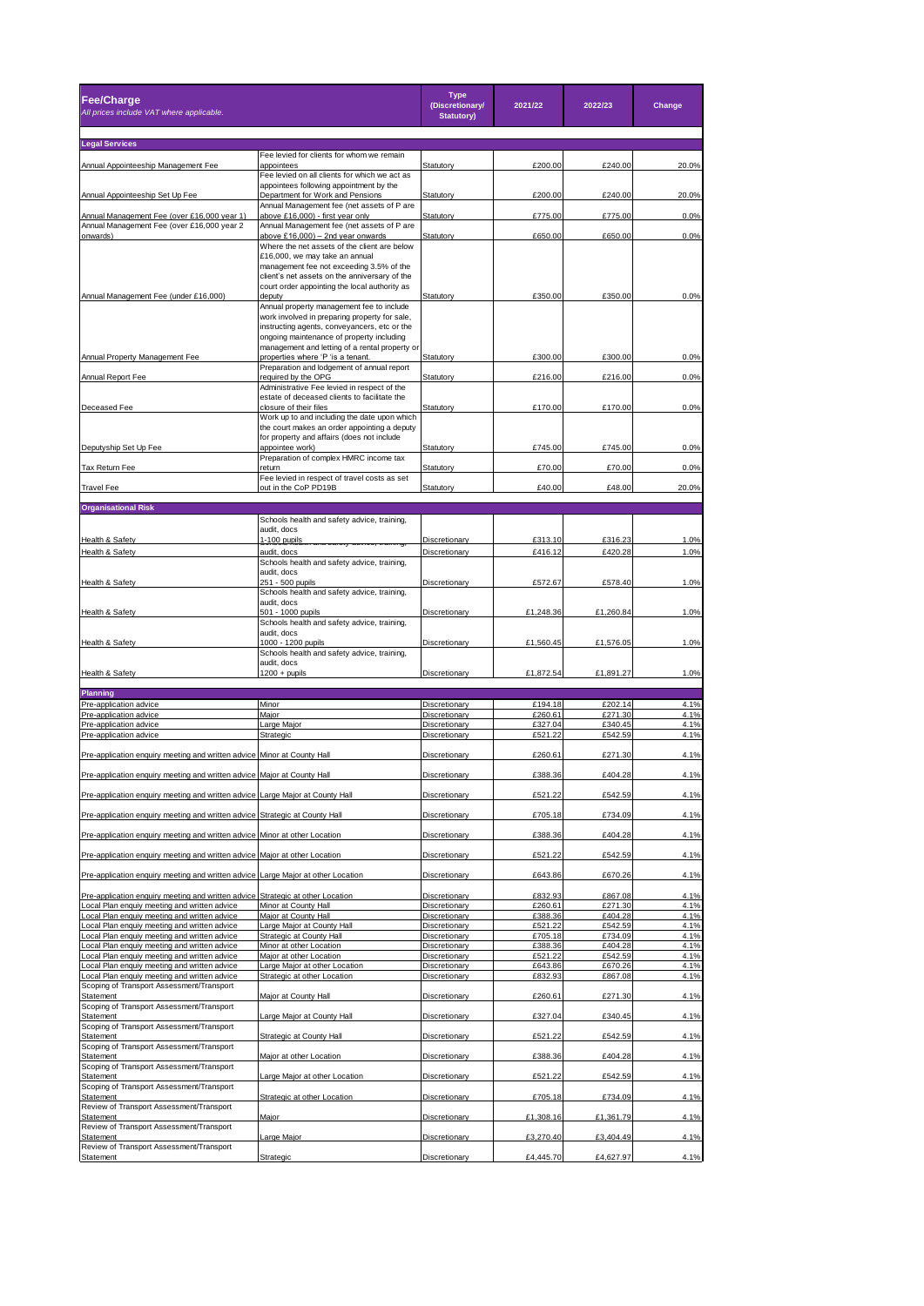| <b>Fee/Charge</b><br>All prices include VAT where applicable.                                      |                                                                                                | <b>Type</b><br>(Discretionary/<br><b>Statutory)</b> | 2021/22            | 2022/23            | Change       |  |  |
|----------------------------------------------------------------------------------------------------|------------------------------------------------------------------------------------------------|-----------------------------------------------------|--------------------|--------------------|--------------|--|--|
| <b>Legal Services</b>                                                                              |                                                                                                |                                                     |                    |                    |              |  |  |
|                                                                                                    | Fee levied for clients for whom we remain                                                      |                                                     |                    |                    |              |  |  |
| Annual Appointeeship Management Fee                                                                | appointees<br>Fee levied on all clients for which we act as                                    | Statutory                                           | £200.00            | £240.00            | 20.0%        |  |  |
|                                                                                                    | appointees following appointment by the                                                        |                                                     |                    |                    |              |  |  |
| Annual Appointeeship Set Up Fee                                                                    | Department for Work and Pensions<br>Annual Management fee (net assets of P are                 | Statutory                                           | £200.00            | £240.00            | 20.0%        |  |  |
| Annual Management Fee (over £16,000 year 1)<br>Annual Management Fee (over £16,000 year 2          | above £16,000) - first year only<br>Annual Management fee (net assets of P are                 | Statutory                                           | £775.00            | £775.00            | 0.0%         |  |  |
| onwards)                                                                                           | above £16,000) - 2nd year onwards                                                              | Statutory                                           | £650.00            | £650.00            | 0.0%         |  |  |
|                                                                                                    | Where the net assets of the client are below<br>£16,000, we may take an annual                 |                                                     |                    |                    |              |  |  |
|                                                                                                    | management fee not exceeding 3.5% of the                                                       |                                                     |                    |                    |              |  |  |
|                                                                                                    | client's net assets on the anniversary of the<br>court order appointing the local authority as |                                                     |                    |                    |              |  |  |
| Annual Management Fee (under £16,000)                                                              | deputy                                                                                         | Statutory                                           | £350.00            | £350.00            | 0.0%         |  |  |
|                                                                                                    | Annual property management fee to include<br>work involved in preparing property for sale,     |                                                     |                    |                    |              |  |  |
|                                                                                                    | instructing agents, conveyancers, etc or the<br>ongoing maintenance of property including      |                                                     |                    |                    |              |  |  |
|                                                                                                    | management and letting of a rental property or                                                 |                                                     |                    |                    |              |  |  |
| Annual Property Management Fee                                                                     | properties where 'P 'is a tenant.<br>Preparation and lodgement of annual report                | Statutory                                           | £300.00            | £300.00            | 0.0%         |  |  |
| Annual Report Fee                                                                                  | required by the OPG                                                                            | Statutory                                           | £216.00            | £216.00            | 0.0%         |  |  |
|                                                                                                    | Administrative Fee levied in respect of the<br>estate of deceased clients to facilitate the    |                                                     |                    |                    |              |  |  |
| Deceased Fee                                                                                       | closure of their files                                                                         | Statutory                                           | £170.00            | £170.00            | 0.0%         |  |  |
|                                                                                                    | Work up to and including the date upon which<br>the court makes an order appointing a deputy   |                                                     |                    |                    |              |  |  |
|                                                                                                    | for property and affairs (does not include                                                     |                                                     |                    |                    |              |  |  |
| Deputyship Set Up Fee                                                                              | appointee work)<br>Preparation of complex HMRC income tax                                      | Statutory                                           | £745.00            | £745.00            | 0.0%         |  |  |
| Tax Return Fee                                                                                     | return                                                                                         | Statutory                                           | £70.00             | £70.00             | 0.0%         |  |  |
| <b>Travel Fee</b>                                                                                  | Fee levied in respect of travel costs as set<br>out in the CoP PD19B                           | Statutory                                           | £40.00             | £48.00             | 20.0%        |  |  |
|                                                                                                    |                                                                                                |                                                     |                    |                    |              |  |  |
| <b>Organisational Risk</b>                                                                         | Schools health and safety advice, training,                                                    |                                                     |                    |                    |              |  |  |
|                                                                                                    | audit, docs                                                                                    |                                                     |                    |                    |              |  |  |
| Health & Safety                                                                                    | 1-100 pupils                                                                                   | Discretionary                                       | £313.10            | £316.23            | 1.0%         |  |  |
| Health & Safety                                                                                    | audit, docs<br>Schools health and safety advice, training,                                     | Discretionary                                       | £416.12            | £420.28            | 1.0%         |  |  |
|                                                                                                    | audit, docs                                                                                    |                                                     |                    |                    |              |  |  |
| Health & Safety                                                                                    | 251 - 500 pupils<br>Schools health and safety advice, training,                                | Discretionary                                       | £572.67            | £578.40            | 1.0%         |  |  |
| Health & Safety                                                                                    | audit, docs<br>501 - 1000 pupils                                                               | Discretionary                                       | £1,248.36          | £1,260.84          | 1.0%         |  |  |
|                                                                                                    | Schools health and safety advice, training,                                                    |                                                     |                    |                    |              |  |  |
| Health & Safety                                                                                    | audit, docs<br>1000 - 1200 pupils                                                              | Discretionary                                       | £1,560.45          | £1,576.05          | 1.0%         |  |  |
|                                                                                                    | Schools health and safety advice, training,                                                    |                                                     |                    |                    |              |  |  |
| Health & Safety                                                                                    | audit, docs<br>$1200 +$ pupils                                                                 | Discretionary                                       | £1,872.54          | £1,891.27          | 1.0%         |  |  |
|                                                                                                    |                                                                                                |                                                     |                    |                    |              |  |  |
| Planning<br>Pre-application advice                                                                 | Minor                                                                                          | Discretionary                                       | £194.18            | £202.14            | 4.1%         |  |  |
| Pre-application advice                                                                             | Major                                                                                          | Discretionary                                       | £260.61            | £271.30            | 4.1%         |  |  |
| Pre-application advice<br>Pre-application advice                                                   | Large Major<br>Strategic                                                                       | Discretionary<br>Discretionary                      | £327.04<br>£521.22 | £340.45<br>£542.59 | 4.1%<br>4.1% |  |  |
|                                                                                                    |                                                                                                |                                                     |                    |                    |              |  |  |
| Pre-application enquiry meeting and written advice Minor at County Hall                            |                                                                                                | Discretionary                                       | £260.61            | £271.30            | 4.1%         |  |  |
| Pre-application enquiry meeting and written advice Major at County Hall                            |                                                                                                | Discretionary                                       | £388.36            | £404.28            | 4.1%         |  |  |
| Pre-application enquiry meeting and written advice Large Major at County Hall                      |                                                                                                | Discretionary                                       | £521.22            | £542.59            | 4.1%         |  |  |
|                                                                                                    |                                                                                                |                                                     | £705.18            | £734.09            |              |  |  |
| Pre-application enquiry meeting and written advice Strategic at County Hall                        |                                                                                                | Discretionary                                       |                    |                    | 4.1%         |  |  |
| Pre-application enquiry meeting and written advice Minor at other Location                         |                                                                                                | Discretionary                                       | £388.36            | £404.28            | 4.1%         |  |  |
| Pre-application enquiry meeting and written advice Major at other Location                         |                                                                                                | Discretionary                                       | £521.22            | £542.59            | 4.1%         |  |  |
| Pre-application enquiry meeting and written advice Large Major at other Location                   |                                                                                                | Discretionary                                       | £643.86            | £670.26            | 4.1%         |  |  |
|                                                                                                    |                                                                                                |                                                     |                    |                    |              |  |  |
| Pre-application enquiry meeting and written advice<br>Local Plan enquiy meeting and written advice | Strategic at other Location<br>Minor at County Hall                                            | Discretionary<br>Discretionary                      | £832.93<br>£260.61 | £867.08<br>£271.30 | 4.1%<br>4.1% |  |  |
| Local Plan enquiy meeting and written advice                                                       | Major at County Hall                                                                           | Discretionary                                       | £388.36            | £404.28            | 4.1%         |  |  |
| ocal Plan enquiy meeting and written advice                                                        | Large Major at County Hall                                                                     | Discretionary                                       | £521.22            | £542.59            | 4.1%         |  |  |
| ocal Plan enquiy meeting and written advice<br>ocal Plan enquiy meeting and written advice.        | <b>Strategic at County Hall</b><br>Minor at other Location                                     | Discretionary<br>Discretionary                      | £705.18<br>£388.36 | £734.09<br>£404.28 | 4.1%<br>4.1% |  |  |
| Local Plan enquiy meeting and written advice                                                       | Major at other Location                                                                        | Discretionary                                       | £521.22            | £542.59            | 4.1%         |  |  |
| Local Plan enquiy meeting and written advice<br>ocal Plan enquiy meeting and written advice        | Large Major at other Location<br>Strategic at other Location                                   | Discretionary<br><b>Discretionary</b>               | £643.86<br>£832.93 | £670.26<br>£867.08 | 4.1%<br>4.1% |  |  |
| Scoping of Transport Assessment/Transport                                                          |                                                                                                |                                                     |                    |                    |              |  |  |
| Statement<br>Scoping of Transport Assessment/Transport                                             | Major at County Hall                                                                           | Discretionary                                       | £260.61            | £271.30            | 4.1%         |  |  |
| Statement                                                                                          | Large Major at County Hall                                                                     | Discretionary                                       | £327.04            | £340.45            | 4.1%         |  |  |
| Scoping of Transport Assessment/Transport<br>Statement                                             | Strategic at County Hall                                                                       | Discretionary                                       | £521.22            | £542.59            | 4.1%         |  |  |
| Scoping of Transport Assessment/Transport                                                          |                                                                                                |                                                     |                    |                    |              |  |  |
| Statement<br>Scoping of Transport Assessment/Transport                                             | Major at other Location                                                                        | Discretionary                                       | £388.36            | £404.28            | 4.1%         |  |  |
| Statement                                                                                          | arge Major at other Location                                                                   | Discretionary                                       | £521.22            | £542.59            | 4.1%         |  |  |
| Scoping of Transport Assessment/Transport<br>Statement                                             | Strategic at other Location                                                                    | Discretionary                                       | £705.18            | £734.09            | 4.1%         |  |  |
| Review of Transport Assessment/Transport<br>Statement                                              |                                                                                                | Discretionary                                       | £1,308.16          | £1,361.79          | 4.1%         |  |  |
| Review of Transport Assessment/Transport                                                           | Major                                                                                          |                                                     |                    |                    |              |  |  |
| Statement<br>Review of Transport Assessment/Transport                                              | arge Major                                                                                     | Discretionary                                       | £3,270.40          | £3,404.49          | 4.1%         |  |  |
| Statement                                                                                          | Strategic                                                                                      | Discretionary                                       | £4,445.70          | £4,627.97          | 4.1%         |  |  |